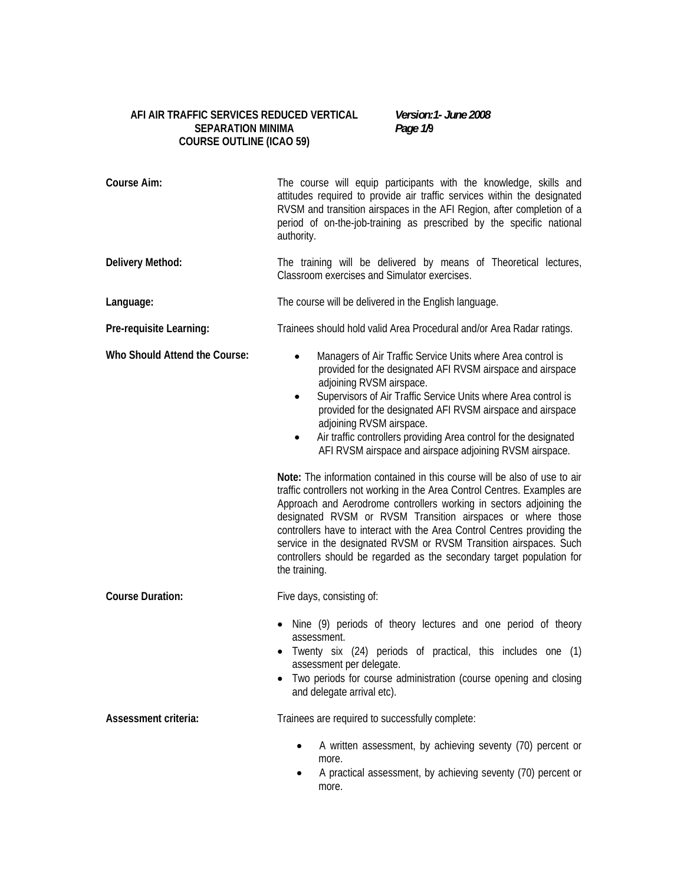# **AFI AIR TRAFFIC SERVICES REDUCED VERTICAL SEPARATION MINIMA COURSE OUTLINE (ICAO 59)**

*Version:1- June 2008 Page 1/***9**

| <b>Course Aim:</b>            | The course will equip participants with the knowledge, skills and<br>attitudes required to provide air traffic services within the designated<br>RVSM and transition airspaces in the AFI Region, after completion of a<br>period of on-the-job-training as prescribed by the specific national<br>authority.                                                                                                                                                                                                                                                                                                                                                                                                                                                                                                                                                                                                                                                                                                                       |
|-------------------------------|-------------------------------------------------------------------------------------------------------------------------------------------------------------------------------------------------------------------------------------------------------------------------------------------------------------------------------------------------------------------------------------------------------------------------------------------------------------------------------------------------------------------------------------------------------------------------------------------------------------------------------------------------------------------------------------------------------------------------------------------------------------------------------------------------------------------------------------------------------------------------------------------------------------------------------------------------------------------------------------------------------------------------------------|
| Delivery Method:              | The training will be delivered by means of Theoretical lectures,<br>Classroom exercises and Simulator exercises.                                                                                                                                                                                                                                                                                                                                                                                                                                                                                                                                                                                                                                                                                                                                                                                                                                                                                                                    |
| Language:                     | The course will be delivered in the English language.                                                                                                                                                                                                                                                                                                                                                                                                                                                                                                                                                                                                                                                                                                                                                                                                                                                                                                                                                                               |
| Pre-requisite Learning:       | Trainees should hold valid Area Procedural and/or Area Radar ratings.                                                                                                                                                                                                                                                                                                                                                                                                                                                                                                                                                                                                                                                                                                                                                                                                                                                                                                                                                               |
| Who Should Attend the Course: | Managers of Air Traffic Service Units where Area control is<br>$\bullet$<br>provided for the designated AFI RVSM airspace and airspace<br>adjoining RVSM airspace.<br>Supervisors of Air Traffic Service Units where Area control is<br>$\bullet$<br>provided for the designated AFI RVSM airspace and airspace<br>adjoining RVSM airspace.<br>Air traffic controllers providing Area control for the designated<br>$\bullet$<br>AFI RVSM airspace and airspace adjoining RVSM airspace.<br>Note: The information contained in this course will be also of use to air<br>traffic controllers not working in the Area Control Centres. Examples are<br>Approach and Aerodrome controllers working in sectors adjoining the<br>designated RVSM or RVSM Transition airspaces or where those<br>controllers have to interact with the Area Control Centres providing the<br>service in the designated RVSM or RVSM Transition airspaces. Such<br>controllers should be regarded as the secondary target population for<br>the training. |
| <b>Course Duration:</b>       | Five days, consisting of:                                                                                                                                                                                                                                                                                                                                                                                                                                                                                                                                                                                                                                                                                                                                                                                                                                                                                                                                                                                                           |
|                               | Nine (9) periods of theory lectures and one period of theory<br>$\bullet$<br>assessment.<br>Twenty six (24) periods of practical, this includes one (1)<br>assessment per delegate.<br>Two periods for course administration (course opening and closing<br>and delegate arrival etc).                                                                                                                                                                                                                                                                                                                                                                                                                                                                                                                                                                                                                                                                                                                                              |
| Assessment criteria:          | Trainees are required to successfully complete:                                                                                                                                                                                                                                                                                                                                                                                                                                                                                                                                                                                                                                                                                                                                                                                                                                                                                                                                                                                     |
|                               | A written assessment, by achieving seventy (70) percent or<br>$\bullet$<br>more.<br>A practical assessment, by achieving seventy (70) percent or<br>٠<br>more.                                                                                                                                                                                                                                                                                                                                                                                                                                                                                                                                                                                                                                                                                                                                                                                                                                                                      |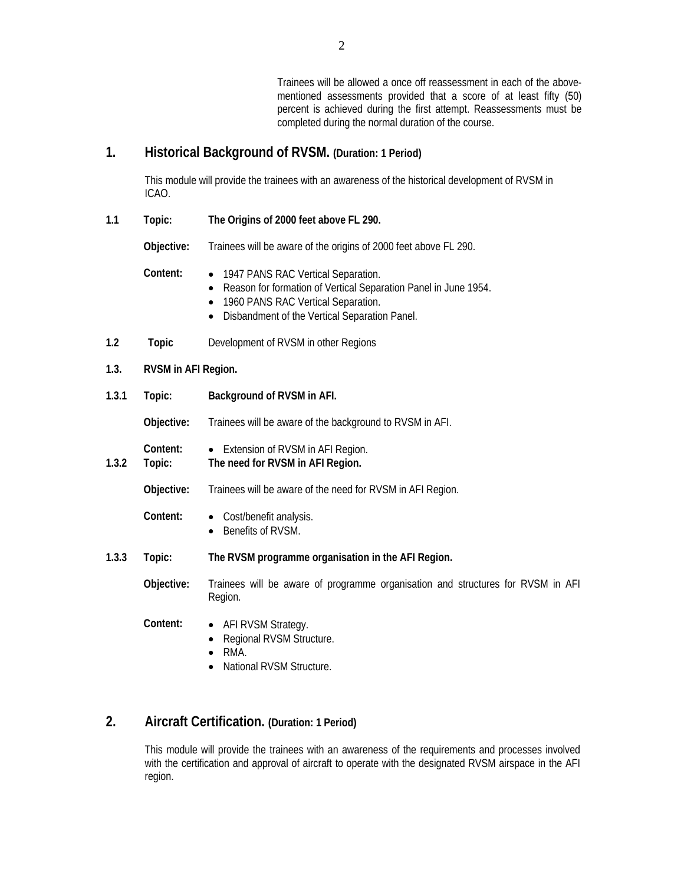Trainees will be allowed a once off reassessment in each of the abovementioned assessments provided that a score of at least fifty (50) percent is achieved during the first attempt. Reassessments must be completed during the normal duration of the course.

# **1. Historical Background of RVSM. (Duration: 1 Period)**

This module will provide the trainees with an awareness of the historical development of RVSM in ICAO.

**1.1 Topic: The Origins of 2000 feet above FL 290.** 

 **Objective:** Trainees will be aware of the origins of 2000 feet above FL 290.

- **Content:**  1947 PANS RAC Vertical Separation.
	- Reason for formation of Vertical Separation Panel in June 1954.
	- 1960 PANS RAC Vertical Separation.
	- Disbandment of the Vertical Separation Panel.
- **1.2 Topic** Development of RVSM in other Regions

## **1.3. RVSM in AFI Region.**

**1.3.1 Topic: Background of RVSM in AFI.** 

 **Objective:** Trainees will be aware of the background to RVSM in AFI.

- **Content:**  Extension of RVSM in AFI Region.
- **1.3.2 Topic: The need for RVSM in AFI Region.**

 **Objective:** Trainees will be aware of the need for RVSM in AFI Region.

- Content:  $\bullet$  Cost/benefit analysis.
	- Benefits of RVSM.
- **1.3.3 Topic: The RVSM programme organisation in the AFI Region.**

 **Objective:** Trainees will be aware of programme organisation and structures for RVSM in AFI Region.

- **Content:**  AFI RVSM Strategy.
	- Regional RVSM Structure.
	- RMA.
	- National RVSM Structure.

# **2. Aircraft Certification. (Duration: 1 Period)**

This module will provide the trainees with an awareness of the requirements and processes involved with the certification and approval of aircraft to operate with the designated RVSM airspace in the AFI region.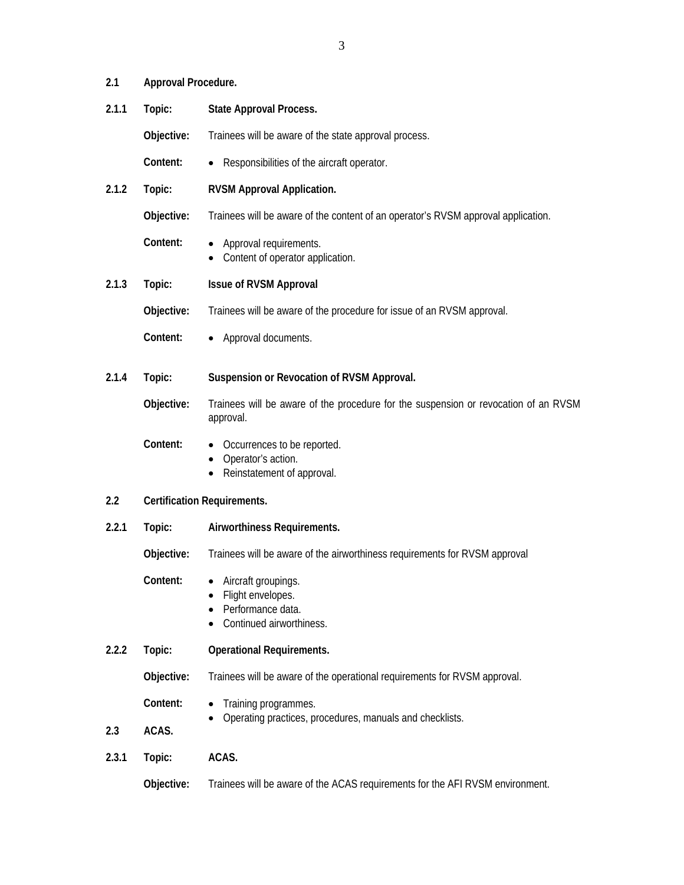| 2.1.1 | Topic:     | <b>State Approval Process.</b>                                                                   |  |
|-------|------------|--------------------------------------------------------------------------------------------------|--|
|       | Objective: | Trainees will be aware of the state approval process.                                            |  |
|       | Content:   | Responsibilities of the aircraft operator.<br>$\bullet$                                          |  |
| 2.1.2 | Topic:     | <b>RVSM Approval Application.</b>                                                                |  |
|       | Objective: | Trainees will be aware of the content of an operator's RVSM approval application.                |  |
|       | Content:   | Approval requirements.<br>Content of operator application.<br>٠                                  |  |
| 2.1.3 | Topic:     | <b>Issue of RVSM Approval</b>                                                                    |  |
|       | Objective: | Trainees will be aware of the procedure for issue of an RVSM approval.                           |  |
|       | Content:   | Approval documents.<br>$\bullet$                                                                 |  |
| 2.1.4 | Topic:     | Suspension or Revocation of RVSM Approval.                                                       |  |
|       | Objective: | Trainees will be aware of the procedure for the suspension or revocation of an RVSM<br>approval. |  |
|       | Content:   | Occurrences to be reported.<br>Operator's action.<br>$\bullet$<br>Reinstatement of approval.     |  |
| 2.2   |            | <b>Certification Requirements.</b>                                                               |  |
| 2.2.1 | Topic:     | Airworthiness Requirements.                                                                      |  |
|       | Objective: | Trainees will be aware of the airworthiness requirements for RVSM approval                       |  |
|       | Content:   | Aircraft groupings.<br>Flight envelopes.<br>٠<br>Performance data.<br>Continued airworthiness.   |  |
| 2.2.2 | Topic:     | <b>Operational Requirements.</b>                                                                 |  |
|       | Objective: | Trainees will be aware of the operational requirements for RVSM approval.                        |  |
|       | Content:   | Training programmes.                                                                             |  |
| 2.3   | ACAS.      | Operating practices, procedures, manuals and checklists.                                         |  |
| 2.3.1 | Topic:     | ACAS.                                                                                            |  |
|       | Objective: | Trainees will be aware of the ACAS requirements for the AFI RVSM environment.                    |  |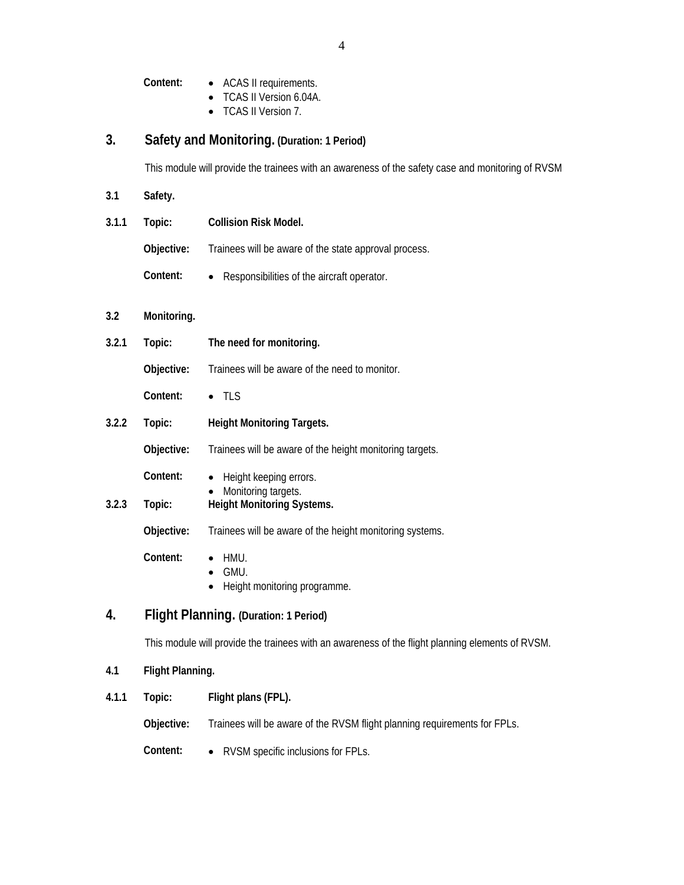**Content:** • ACAS II requirements.

- TCAS II Version 6.04A.
- TCAS II Version 7.

# **3. Safety and Monitoring. (Duration: 1 Period)**

This module will provide the trainees with an awareness of the safety case and monitoring of RVSM

| 3.1   | Safety.                               |                                                                                                  |  |  |
|-------|---------------------------------------|--------------------------------------------------------------------------------------------------|--|--|
| 3.1.1 | Topic:                                | <b>Collision Risk Model.</b>                                                                     |  |  |
|       | Objective:                            | Trainees will be aware of the state approval process.                                            |  |  |
|       | Content:                              | Responsibilities of the aircraft operator.                                                       |  |  |
| 3.2   | Monitoring.                           |                                                                                                  |  |  |
| 3.2.1 | Topic:                                | The need for monitoring.                                                                         |  |  |
|       | Objective:                            | Trainees will be aware of the need to monitor.                                                   |  |  |
|       | Content:                              | $\bullet$ TLS                                                                                    |  |  |
| 3.2.2 | Topic:                                | <b>Height Monitoring Targets.</b>                                                                |  |  |
|       | Objective:                            | Trainees will be aware of the height monitoring targets.                                         |  |  |
|       | Content:                              | Height keeping errors.                                                                           |  |  |
| 3.2.3 | Topic:                                | Monitoring targets.<br><b>Height Monitoring Systems.</b>                                         |  |  |
|       | Objective:                            | Trainees will be aware of the height monitoring systems.                                         |  |  |
|       | Content:                              | hmu.<br>GMU.<br>$\bullet$<br>Height monitoring programme.<br>$\bullet$                           |  |  |
| 4.    | Flight Planning. (Duration: 1 Period) |                                                                                                  |  |  |
|       |                                       | This module will provide the trainees with an awareness of the flight planning elements of RVSM. |  |  |
|       |                                       |                                                                                                  |  |  |

# **4.1 Flight Planning.**

**4.1.1 Topic: Flight plans (FPL).** 

 **Objective:** Trainees will be aware of the RVSM flight planning requirements for FPLs.

 **Content:** • RVSM specific inclusions for FPLs.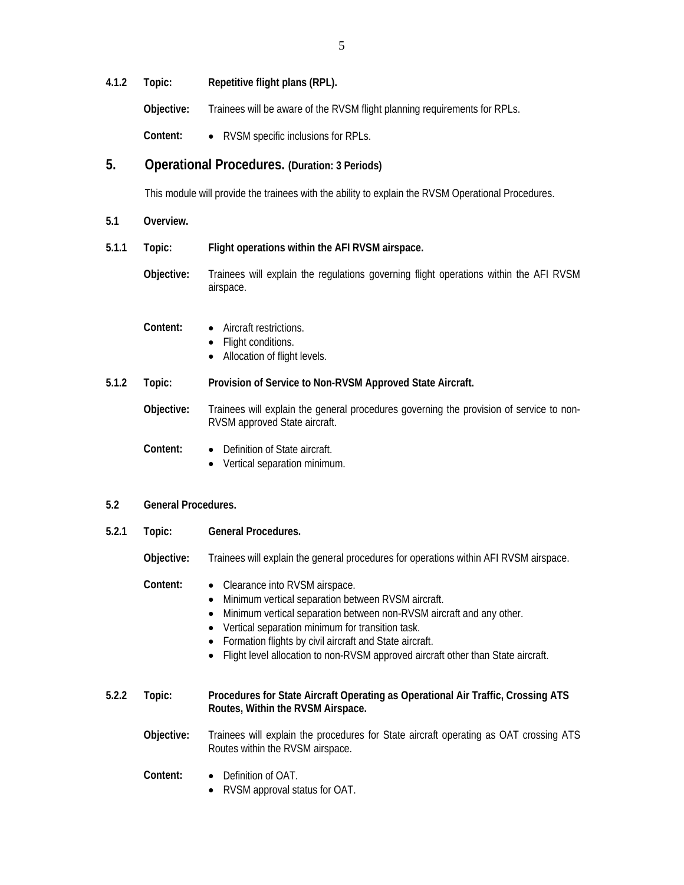**4.1.2 Topic: Repetitive flight plans (RPL).** 

 **Objective:** Trainees will be aware of the RVSM flight planning requirements for RPLs.

 **Content:** • RVSM specific inclusions for RPLs.

# **5. Operational Procedures. (Duration: 3 Periods)**

This module will provide the trainees with the ability to explain the RVSM Operational Procedures.

- **5.1 Overview.**
- **5.1.1 Topic: Flight operations within the AFI RVSM airspace.** 
	- **Objective:** Trainees will explain the regulations governing flight operations within the AFI RVSM airspace.
	- **Content:**  Aircraft restrictions.
		- Flight conditions.
		- Allocation of flight levels.
- **5.1.2 Topic: Provision of Service to Non-RVSM Approved State Aircraft.**

 **Objective:** Trainees will explain the general procedures governing the provision of service to non-RVSM approved State aircraft.

- **Content:**  Definition of State aircraft.
	- Vertical separation minimum.

### **5.2 General Procedures.**

**5.2.1 Topic: General Procedures.** 

 **Objective:** Trainees will explain the general procedures for operations within AFI RVSM airspace.

## **Content:** • Clearance into RVSM airspace.

- Minimum vertical separation between RVSM aircraft.
- Minimum vertical separation between non-RVSM aircraft and any other.
- Vertical separation minimum for transition task.
- Formation flights by civil aircraft and State aircraft.
- Flight level allocation to non-RVSM approved aircraft other than State aircraft.

## **5.2.2 Topic: Procedures for State Aircraft Operating as Operational Air Traffic, Crossing ATS Routes, Within the RVSM Airspace.**

- **Objective:** Trainees will explain the procedures for State aircraft operating as OAT crossing ATS Routes within the RVSM airspace.
	- **Content:**  Definition of OAT.
		- RVSM approval status for OAT.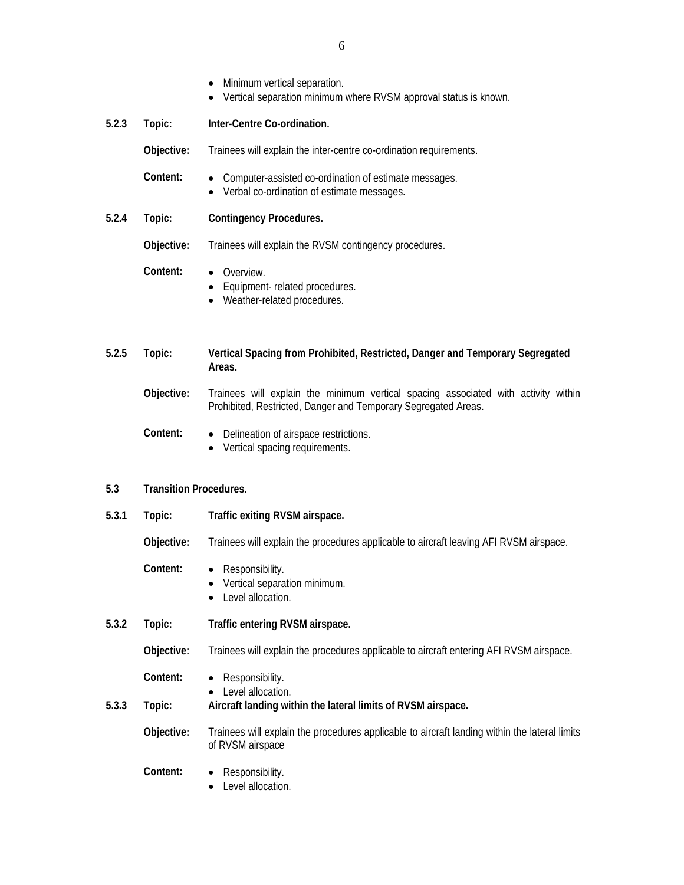- Minimum vertical separation.
- Vertical separation minimum where RVSM approval status is known.
- **5.2.3 Topic: Inter-Centre Co-ordination.**

**Objective:** Trainees will explain the inter-centre co-ordination requirements.

- **Content:**  Computer-assisted co-ordination of estimate messages.
	- Verbal co-ordination of estimate messages.
- **5.2.4 Topic: Contingency Procedures.**

 **Objective:** Trainees will explain the RVSM contingency procedures.

- **Content:**  Overview.
	- Equipment- related procedures.
	- Weather-related procedures.
- **5.2.5 Topic: Vertical Spacing from Prohibited, Restricted, Danger and Temporary Segregated Areas.** 
	- **Objective:** Trainees will explain the minimum vertical spacing associated with activity within Prohibited, Restricted, Danger and Temporary Segregated Areas.
	- **Content:**  Delineation of airspace restrictions.
		- Vertical spacing requirements.

#### **5.3 Transition Procedures.**

**5.3.1 Topic: Traffic exiting RVSM airspace.** 

 **Objective:** Trainees will explain the procedures applicable to aircraft leaving AFI RVSM airspace.

- **Content:**  Responsibility.
	- Vertical separation minimum.
	- Level allocation.
- **5.3.2 Topic: Traffic entering RVSM airspace.**

 **Objective:** Trainees will explain the procedures applicable to aircraft entering AFI RVSM airspace.

- **Content:**  Responsibility.
	- Level allocation.
- **5.3.3 Topic: Aircraft landing within the lateral limits of RVSM airspace.** 
	- **Objective:** Trainees will explain the procedures applicable to aircraft landing within the lateral limits of RVSM airspace
		- **Content:**  Responsibility.
			- Level allocation.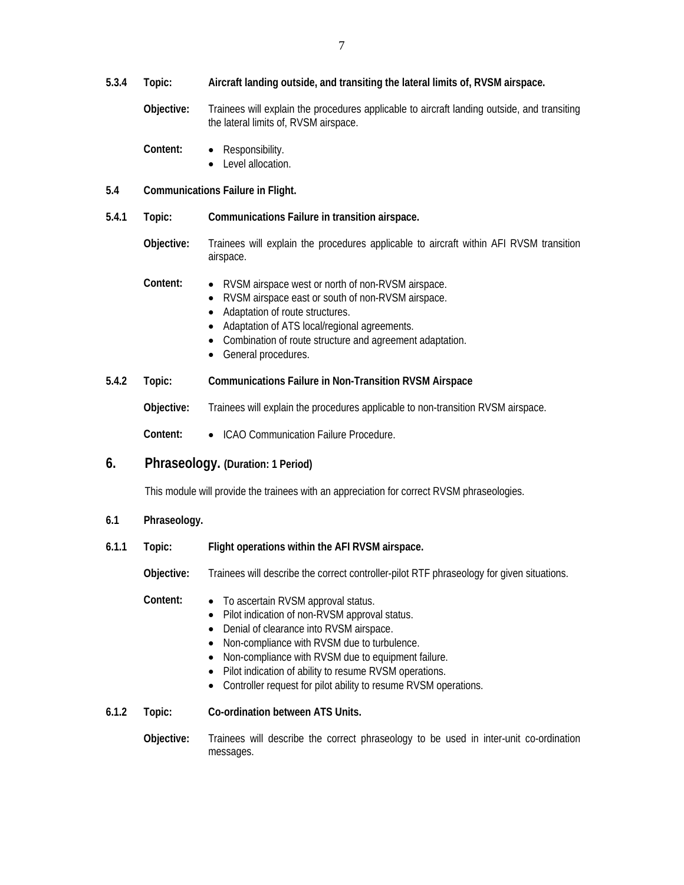- **5.3.4 Topic: Aircraft landing outside, and transiting the lateral limits of, RVSM airspace.** 
	- **Objective:** Trainees will explain the procedures applicable to aircraft landing outside, and transiting the lateral limits of, RVSM airspace.
	- **Content:**  Responsibility.
		- Level allocation.

## **5.4 Communications Failure in Flight.**

- **5.4.1 Topic: Communications Failure in transition airspace.** 
	- **Objective:** Trainees will explain the procedures applicable to aircraft within AFI RVSM transition airspace.
	- **Content:**  RVSM airspace west or north of non-RVSM airspace.
		- RVSM airspace east or south of non-RVSM airspace.
		- Adaptation of route structures.
		- Adaptation of ATS local/regional agreements.
		- Combination of route structure and agreement adaptation.
		- General procedures.

### **5.4.2 Topic: Communications Failure in Non-Transition RVSM Airspace**

- **Objective:** Trainees will explain the procedures applicable to non-transition RVSM airspace.
- **Content:**  ICAO Communication Failure Procedure.

# **6. Phraseology. (Duration: 1 Period)**

This module will provide the trainees with an appreciation for correct RVSM phraseologies.

- **6.1 Phraseology.**
- **6.1.1 Topic: Flight operations within the AFI RVSM airspace.**

 **Objective:** Trainees will describe the correct controller-pilot RTF phraseology for given situations.

 **Content:** • To ascertain RVSM approval status.

- Pilot indication of non-RVSM approval status.
- Denial of clearance into RVSM airspace.
- Non-compliance with RVSM due to turbulence.
- Non-compliance with RVSM due to equipment failure.
- Pilot indication of ability to resume RVSM operations.
- Controller request for pilot ability to resume RVSM operations.

**6.1.2 Topic: Co-ordination between ATS Units.** 

 **Objective:** Trainees will describe the correct phraseology to be used in inter-unit co-ordination messages.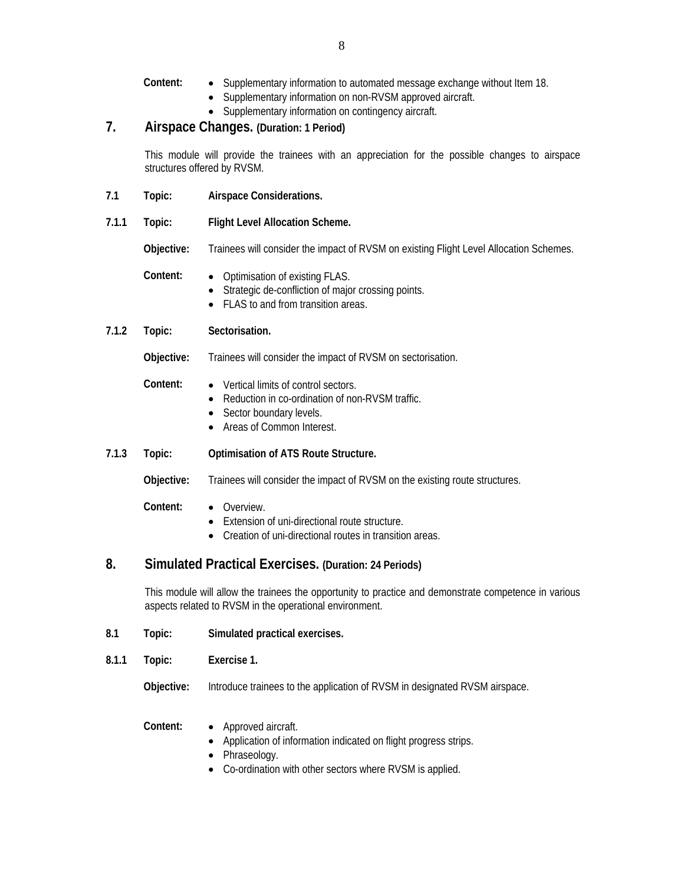- **Content:**  Supplementary information to automated message exchange without Item 18.
	- Supplementary information on non-RVSM approved aircraft.
	- Supplementary information on contingency aircraft.

# **7. Airspace Changes. (Duration: 1 Period)**

This module will provide the trainees with an appreciation for the possible changes to airspace structures offered by RVSM.

- **7.1 Topic: Airspace Considerations.**
- **7.1.1 Topic: Flight Level Allocation Scheme.**

 **Objective:** Trainees will consider the impact of RVSM on existing Flight Level Allocation Schemes.

- **Content:**  Optimisation of existing FLAS.
	- Strategic de-confliction of major crossing points.
	- FLAS to and from transition areas.
- **7.1.2 Topic: Sectorisation.**

 **Objective:** Trainees will consider the impact of RVSM on sectorisation.

- **Content:**  Vertical limits of control sectors.
	- Reduction in co-ordination of non-RVSM traffic.
	- Sector boundary levels.
	- Areas of Common Interest.

### **7.1.3 Topic: Optimisation of ATS Route Structure.**

 **Objective:** Trainees will consider the impact of RVSM on the existing route structures.

- **Content:**  Overview.
	- Extension of uni-directional route structure.
	- Creation of uni-directional routes in transition areas.

# **8. Simulated Practical Exercises. (Duration: 24 Periods)**

This module will allow the trainees the opportunity to practice and demonstrate competence in various aspects related to RVSM in the operational environment.

- **8.1 Topic: Simulated practical exercises.**
- **8.1.1 Topic: Exercise 1.**

**Objective:** Introduce trainees to the application of RVSM in designated RVSM airspace.

- **Content:**  Approved aircraft.
	- Application of information indicated on flight progress strips.
	- Phraseology.
	- Co-ordination with other sectors where RVSM is applied.